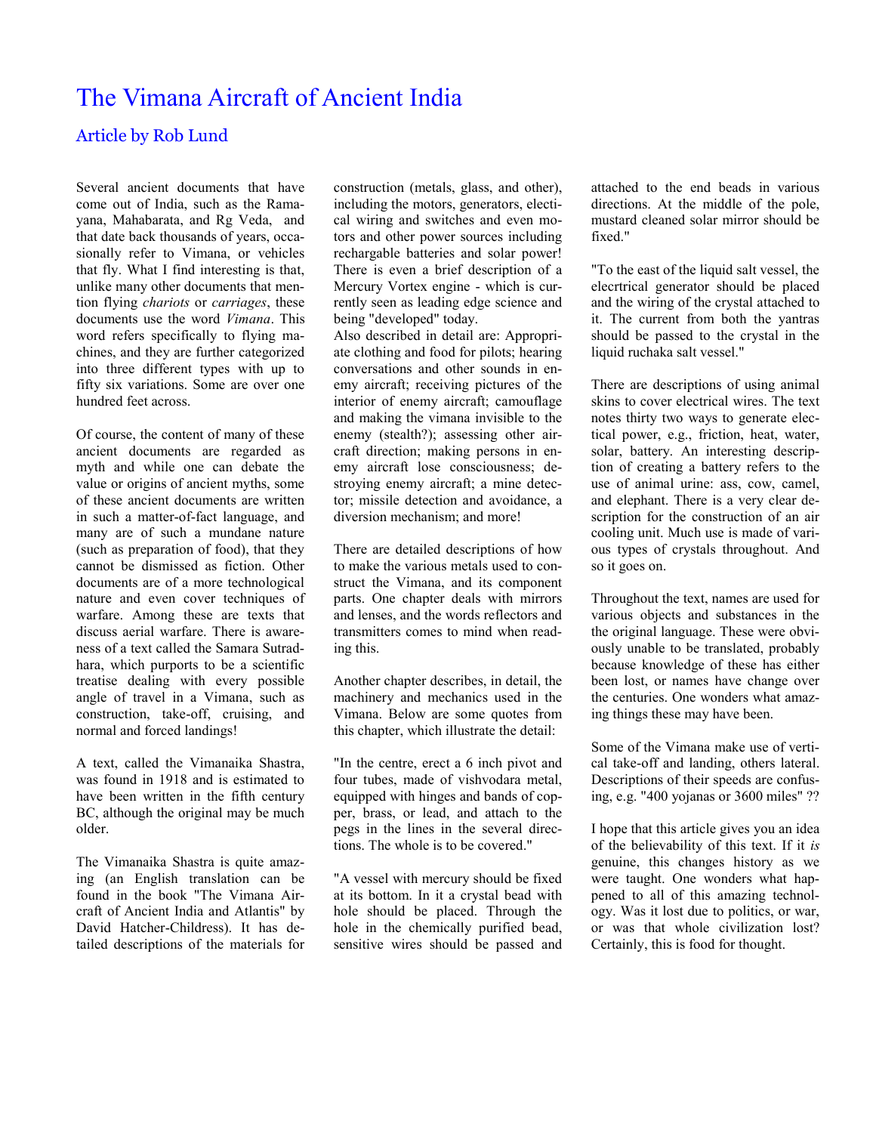## The Vimana Aircraft of Ancient India

## Article by Rob Lund

Several ancient documents that have come out of India, such as the Ramayana, Mahabarata, and Rg Veda, and that date back thousands of years, occasionally refer to Vimana, or vehicles that fly. What I find interesting is that, unlike many other documents that mention flying *chariots* or *carriages*, these documents use the word *Vimana*. This word refers specifically to flying machines, and they are further categorized into three different types with up to fifty six variations. Some are over one hundred feet across.

Of course, the content of many of these ancient documents are regarded as myth and while one can debate the value or origins of ancient myths, some of these ancient documents are written in such a matter-of-fact language, and many are of such a mundane nature (such as preparation of food), that they cannot be dismissed as fiction. Other documents are of a more technological nature and even cover techniques of warfare. Among these are texts that discuss aerial warfare. There is awareness of a text called the Samara Sutradhara, which purports to be a scientific treatise dealing with every possible angle of travel in a Vimana, such as construction, take-off, cruising, and normal and forced landings!

A text, called the Vimanaika Shastra, was found in 1918 and is estimated to have been written in the fifth century BC, although the original may be much older.

The Vimanaika Shastra is quite amazing (an English translation can be found in the book "The Vimana Aircraft of Ancient India and Atlantis" by David Hatcher-Childress). It has detailed descriptions of the materials for construction (metals, glass, and other), including the motors, generators, electical wiring and switches and even motors and other power sources including rechargable batteries and solar power! There is even a brief description of a Mercury Vortex engine - which is currently seen as leading edge science and being "developed" today.

Also described in detail are: Appropriate clothing and food for pilots; hearing conversations and other sounds in enemy aircraft; receiving pictures of the interior of enemy aircraft; camouflage and making the vimana invisible to the enemy (stealth?); assessing other aircraft direction; making persons in enemy aircraft lose consciousness; destroying enemy aircraft; a mine detector; missile detection and avoidance, a diversion mechanism; and more!

There are detailed descriptions of how to make the various metals used to construct the Vimana, and its component parts. One chapter deals with mirrors and lenses, and the words reflectors and transmitters comes to mind when reading this.

Another chapter describes, in detail, the machinery and mechanics used in the Vimana. Below are some quotes from this chapter, which illustrate the detail:

"In the centre, erect a 6 inch pivot and four tubes, made of vishvodara metal, equipped with hinges and bands of copper, brass, or lead, and attach to the pegs in the lines in the several directions. The whole is to be covered."

"A vessel with mercury should be fixed at its bottom. In it a crystal bead with hole should be placed. Through the hole in the chemically purified bead, sensitive wires should be passed and

attached to the end beads in various directions. At the middle of the pole, mustard cleaned solar mirror should be fixed."

"To the east of the liquid salt vessel, the elecrtrical generator should be placed and the wiring of the crystal attached to it. The current from both the yantras should be passed to the crystal in the liquid ruchaka salt vessel."

There are descriptions of using animal skins to cover electrical wires. The text notes thirty two ways to generate electical power, e.g., friction, heat, water, solar, battery. An interesting description of creating a battery refers to the use of animal urine: ass, cow, camel, and elephant. There is a very clear description for the construction of an air cooling unit. Much use is made of various types of crystals throughout. And so it goes on.

Throughout the text, names are used for various objects and substances in the the original language. These were obviously unable to be translated, probably because knowledge of these has either been lost, or names have change over the centuries. One wonders what amazing things these may have been.

Some of the Vimana make use of vertical take-off and landing, others lateral. Descriptions of their speeds are confusing, e.g. "400 yojanas or 3600 miles" ??

I hope that this article gives you an idea of the believability of this text. If it *is*  genuine, this changes history as we were taught. One wonders what happened to all of this amazing technology. Was it lost due to politics, or war, or was that whole civilization lost? Certainly, this is food for thought.